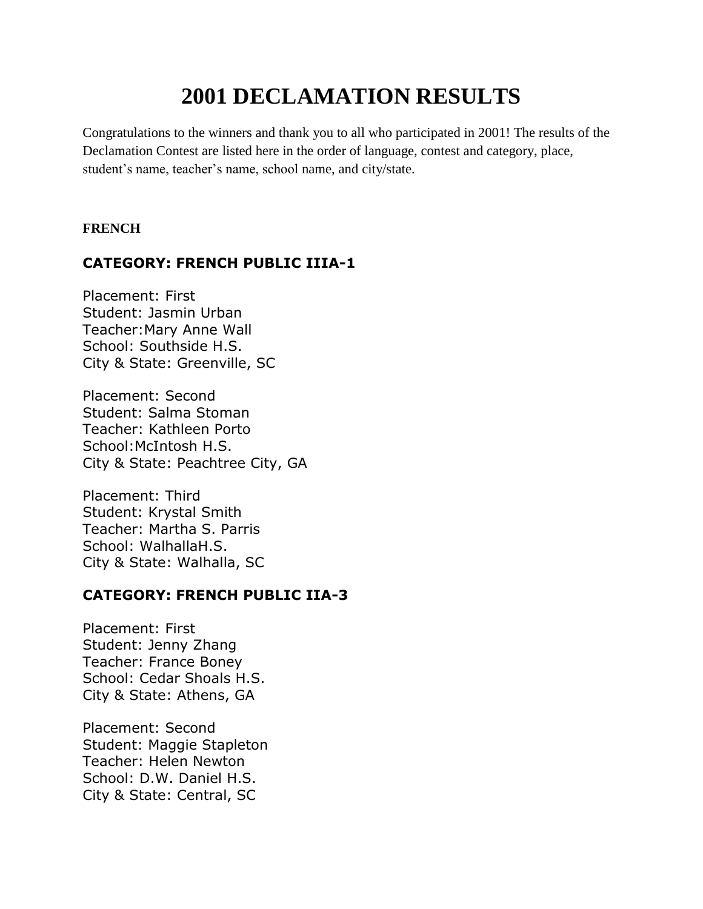# **2001 DECLAMATION RESULTS**

Congratulations to the winners and thank you to all who participated in 2001! The results of the Declamation Contest are listed here in the order of language, contest and category, place, student's name, teacher's name, school name, and city/state.

## **FRENCH**

# **CATEGORY: FRENCH PUBLIC IIIA-1**

Placement: First Student: Jasmin Urban Teacher:Mary Anne Wall School: Southside H.S. City & State: Greenville, SC

Placement: Second Student: Salma Stoman Teacher: Kathleen Porto School:McIntosh H.S. City & State: Peachtree City, GA

Placement: Third Student: Krystal Smith Teacher: Martha S. Parris School: WalhallaH.S. City & State: Walhalla, SC

## **CATEGORY: FRENCH PUBLIC IIA-3**

Placement: First Student: Jenny Zhang Teacher: France Boney School: Cedar Shoals H.S. City & State: Athens, GA

Placement: Second Student: Maggie Stapleton Teacher: Helen Newton School: D.W. Daniel H.S. City & State: Central, SC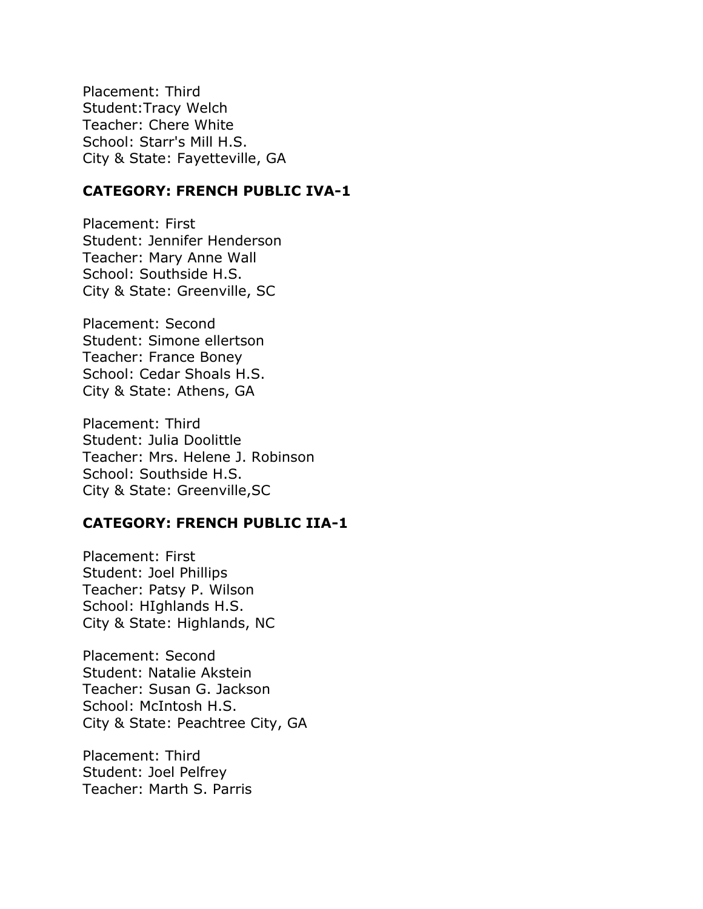Placement: Third Student:Tracy Welch Teacher: Chere White School: Starr's Mill H.S. City & State: Fayetteville, GA

# **CATEGORY: FRENCH PUBLIC IVA-1**

Placement: First Student: Jennifer Henderson Teacher: Mary Anne Wall School: Southside H.S. City & State: Greenville, SC

Placement: Second Student: Simone ellertson Teacher: France Boney School: Cedar Shoals H.S. City & State: Athens, GA

Placement: Third Student: Julia Doolittle Teacher: Mrs. Helene J. Robinson School: Southside H.S. City & State: Greenville,SC

## **CATEGORY: FRENCH PUBLIC IIA-1**

Placement: First Student: Joel Phillips Teacher: Patsy P. Wilson School: HIghlands H.S. City & State: Highlands, NC

Placement: Second Student: Natalie Akstein Teacher: Susan G. Jackson School: McIntosh H.S. City & State: Peachtree City, GA

Placement: Third Student: Joel Pelfrey Teacher: Marth S. Parris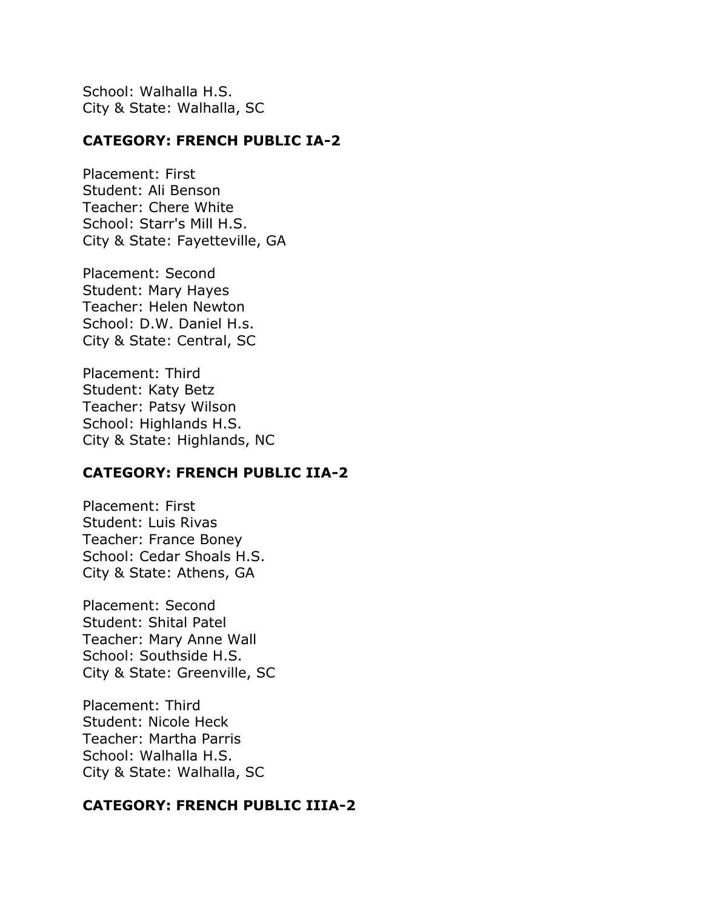School: Walhalla H.S. City & State: Walhalla, SC

## **CATEGORY: FRENCH PUBLIC IA-2**

Placement: First Student: Ali Benson Teacher: Chere White School: Starr's Mill H.S. City & State: Fayetteville, GA

Placement: Second Student: Mary Hayes Teacher: Helen Newton School: D.W. Daniel H.s. City & State: Central, SC

Placement: Third Student: Katy Betz Teacher: Patsy Wilson School: Highlands H.S. City & State: Highlands, NC

#### **CATEGORY: FRENCH PUBLIC IIA-2**

Placement: First Student: Luis Rivas Teacher: France Boney School: Cedar Shoals H.S. City & State: Athens, GA

Placement: Second Student: Shital Patel Teacher: Mary Anne Wall School: Southside H.S. City & State: Greenville, SC

Placement: Third Student: Nicole Heck Teacher: Martha Parris School: Walhalla H.S. City & State: Walhalla, SC

## **CATEGORY: FRENCH PUBLIC IIIA-2**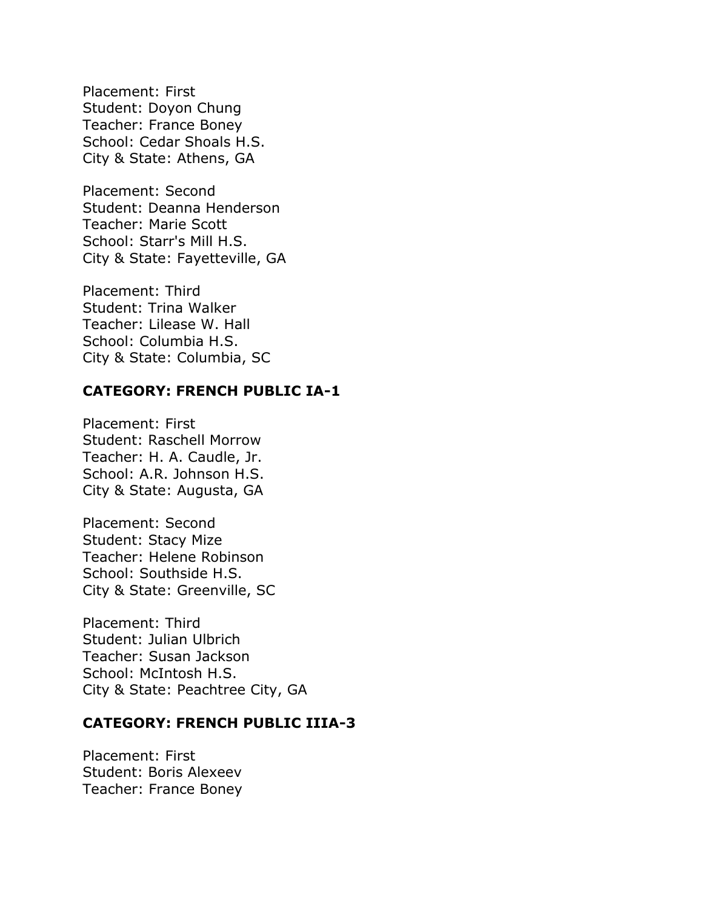Placement: First Student: Doyon Chung Teacher: France Boney School: Cedar Shoals H.S. City & State: Athens, GA

Placement: Second Student: Deanna Henderson Teacher: Marie Scott School: Starr's Mill H.S. City & State: Fayetteville, GA

Placement: Third Student: Trina Walker Teacher: Lilease W. Hall School: Columbia H.S. City & State: Columbia, SC

## **CATEGORY: FRENCH PUBLIC IA-1**

Placement: First Student: Raschell Morrow Teacher: H. A. Caudle, Jr. School: A.R. Johnson H.S. City & State: Augusta, GA

Placement: Second Student: Stacy Mize Teacher: Helene Robinson School: Southside H.S. City & State: Greenville, SC

Placement: Third Student: Julian Ulbrich Teacher: Susan Jackson School: McIntosh H.S. City & State: Peachtree City, GA

## **CATEGORY: FRENCH PUBLIC IIIA-3**

Placement: First Student: Boris Alexeev Teacher: France Boney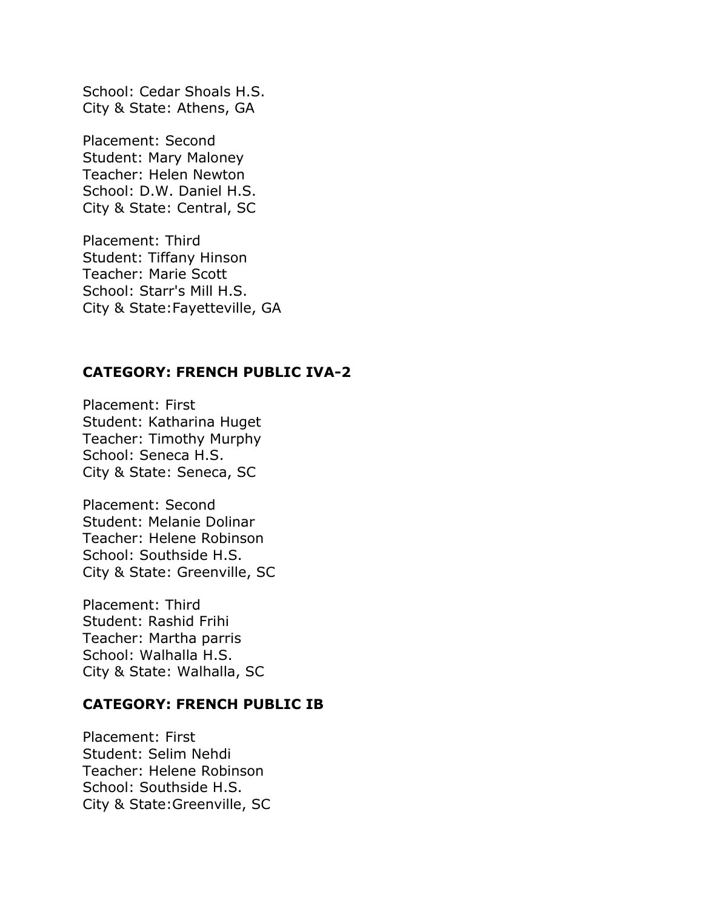School: Cedar Shoals H.S. City & State: Athens, GA

Placement: Second Student: Mary Maloney Teacher: Helen Newton School: D.W. Daniel H.S. City & State: Central, SC

Placement: Third Student: Tiffany Hinson Teacher: Marie Scott School: Starr's Mill H.S. City & State:Fayetteville, GA

## **CATEGORY: FRENCH PUBLIC IVA-2**

Placement: First Student: Katharina Huget Teacher: Timothy Murphy School: Seneca H.S. City & State: Seneca, SC

Placement: Second Student: Melanie Dolinar Teacher: Helene Robinson School: Southside H.S. City & State: Greenville, SC

Placement: Third Student: Rashid Frihi Teacher: Martha parris School: Walhalla H.S. City & State: Walhalla, SC

#### **CATEGORY: FRENCH PUBLIC IB**

Placement: First Student: Selim Nehdi Teacher: Helene Robinson School: Southside H.S. City & State:Greenville, SC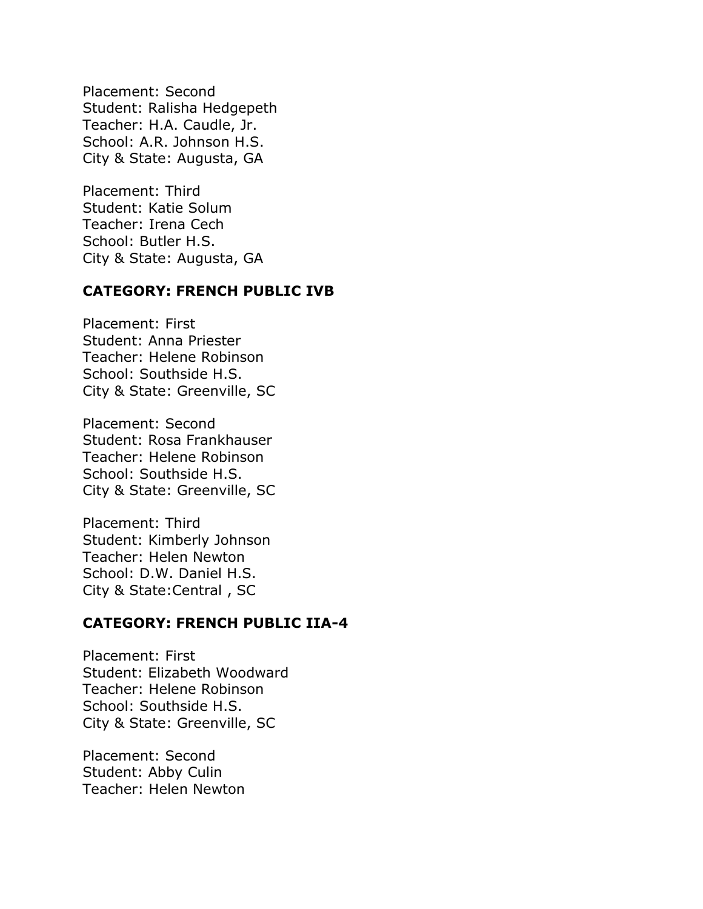Placement: Second Student: Ralisha Hedgepeth Teacher: H.A. Caudle, Jr. School: A.R. Johnson H.S. City & State: Augusta, GA

Placement: Third Student: Katie Solum Teacher: Irena Cech School: Butler H.S. City & State: Augusta, GA

# **CATEGORY: FRENCH PUBLIC IVB**

Placement: First Student: Anna Priester Teacher: Helene Robinson School: Southside H.S. City & State: Greenville, SC

Placement: Second Student: Rosa Frankhauser Teacher: Helene Robinson School: Southside H.S. City & State: Greenville, SC

Placement: Third Student: Kimberly Johnson Teacher: Helen Newton School: D.W. Daniel H.S. City & State:Central , SC

# **CATEGORY: FRENCH PUBLIC IIA-4**

Placement: First Student: Elizabeth Woodward Teacher: Helene Robinson School: Southside H.S. City & State: Greenville, SC

Placement: Second Student: Abby Culin Teacher: Helen Newton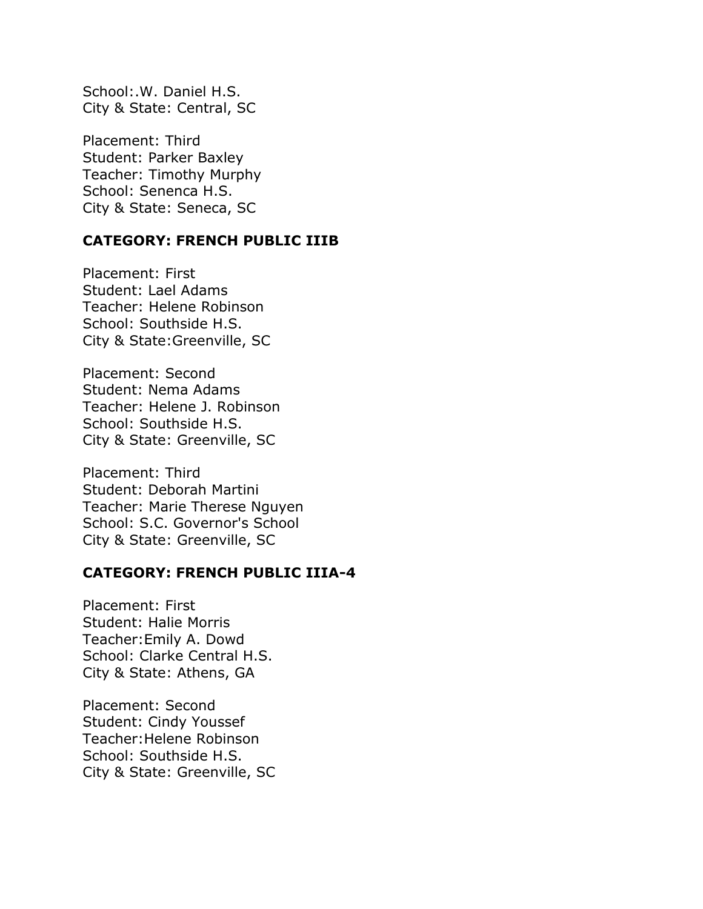School:.W. Daniel H.S. City & State: Central, SC

Placement: Third Student: Parker Baxley Teacher: Timothy Murphy School: Senenca H.S. City & State: Seneca, SC

## **CATEGORY: FRENCH PUBLIC IIIB**

Placement: First Student: Lael Adams Teacher: Helene Robinson School: Southside H.S. City & State:Greenville, SC

Placement: Second Student: Nema Adams Teacher: Helene J. Robinson School: Southside H.S. City & State: Greenville, SC

Placement: Third Student: Deborah Martini Teacher: Marie Therese Nguyen School: S.C. Governor's School City & State: Greenville, SC

## **CATEGORY: FRENCH PUBLIC IIIA-4**

Placement: First Student: Halie Morris Teacher:Emily A. Dowd School: Clarke Central H.S. City & State: Athens, GA

Placement: Second Student: Cindy Youssef Teacher:Helene Robinson School: Southside H.S. City & State: Greenville, SC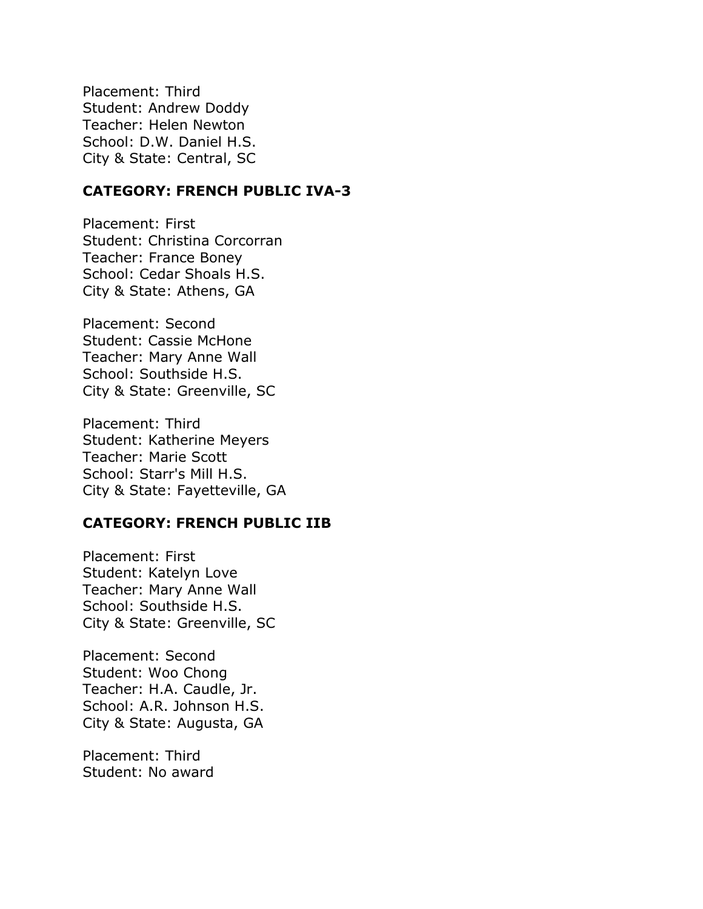Placement: Third Student: Andrew Doddy Teacher: Helen Newton School: D.W. Daniel H.S. City & State: Central, SC

## **CATEGORY: FRENCH PUBLIC IVA-3**

Placement: First Student: Christina Corcorran Teacher: France Boney School: Cedar Shoals H.S. City & State: Athens, GA

Placement: Second Student: Cassie McHone Teacher: Mary Anne Wall School: Southside H.S. City & State: Greenville, SC

Placement: Third Student: Katherine Meyers Teacher: Marie Scott School: Starr's Mill H.S. City & State: Fayetteville, GA

## **CATEGORY: FRENCH PUBLIC IIB**

Placement: First Student: Katelyn Love Teacher: Mary Anne Wall School: Southside H.S. City & State: Greenville, SC

Placement: Second Student: Woo Chong Teacher: H.A. Caudle, Jr. School: A.R. Johnson H.S. City & State: Augusta, GA

Placement: Third Student: No award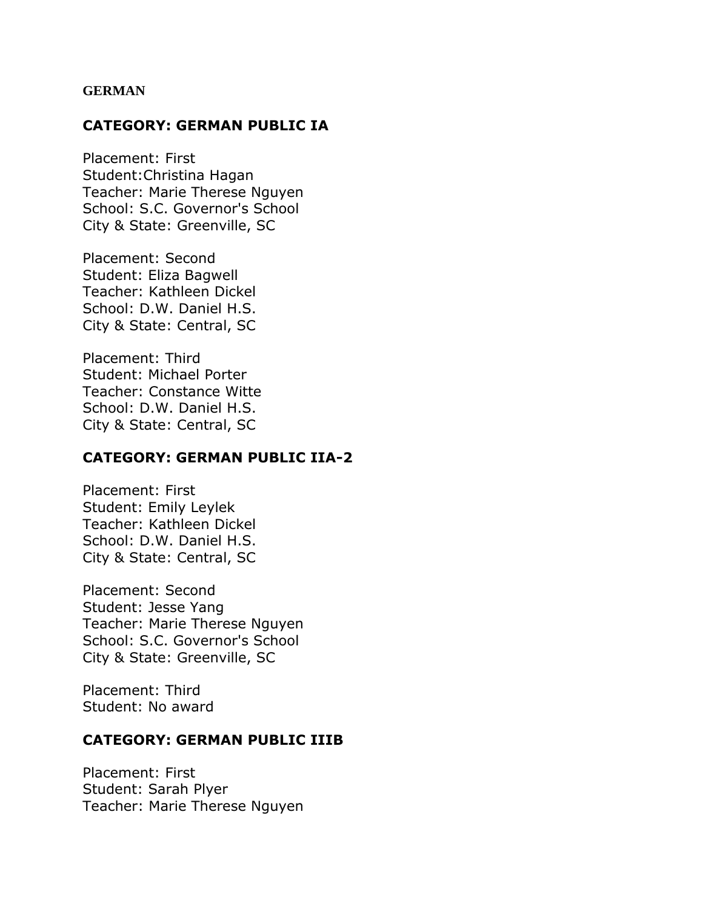#### **GERMAN**

#### **CATEGORY: GERMAN PUBLIC IA**

Placement: First Student:Christina Hagan Teacher: Marie Therese Nguyen School: S.C. Governor's School City & State: Greenville, SC

Placement: Second Student: Eliza Bagwell Teacher: Kathleen Dickel School: D.W. Daniel H.S. City & State: Central, SC

Placement: Third Student: Michael Porter Teacher: Constance Witte School: D.W. Daniel H.S. City & State: Central, SC

#### **CATEGORY: GERMAN PUBLIC IIA-2**

Placement: First Student: Emily Leylek Teacher: Kathleen Dickel School: D.W. Daniel H.S. City & State: Central, SC

Placement: Second Student: Jesse Yang Teacher: Marie Therese Nguyen School: S.C. Governor's School City & State: Greenville, SC

Placement: Third Student: No award

#### **CATEGORY: GERMAN PUBLIC IIIB**

Placement: First Student: Sarah Plyer Teacher: Marie Therese Nguyen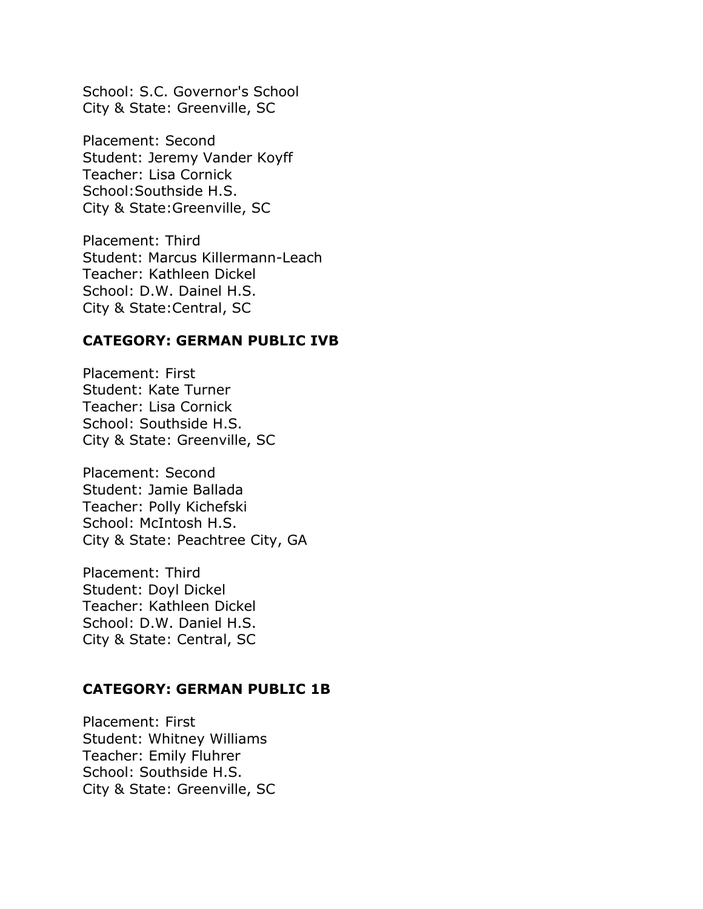School: S.C. Governor's School City & State: Greenville, SC

Placement: Second Student: Jeremy Vander Koyff Teacher: Lisa Cornick School:Southside H.S. City & State:Greenville, SC

Placement: Third Student: Marcus Killermann-Leach Teacher: Kathleen Dickel School: D.W. Dainel H.S. City & State:Central, SC

#### **CATEGORY: GERMAN PUBLIC IVB**

Placement: First Student: Kate Turner Teacher: Lisa Cornick School: Southside H.S. City & State: Greenville, SC

Placement: Second Student: Jamie Ballada Teacher: Polly Kichefski School: McIntosh H.S. City & State: Peachtree City, GA

Placement: Third Student: Doyl Dickel Teacher: Kathleen Dickel School: D.W. Daniel H.S. City & State: Central, SC

## **CATEGORY: GERMAN PUBLIC 1B**

Placement: First Student: Whitney Williams Teacher: Emily Fluhrer School: Southside H.S. City & State: Greenville, SC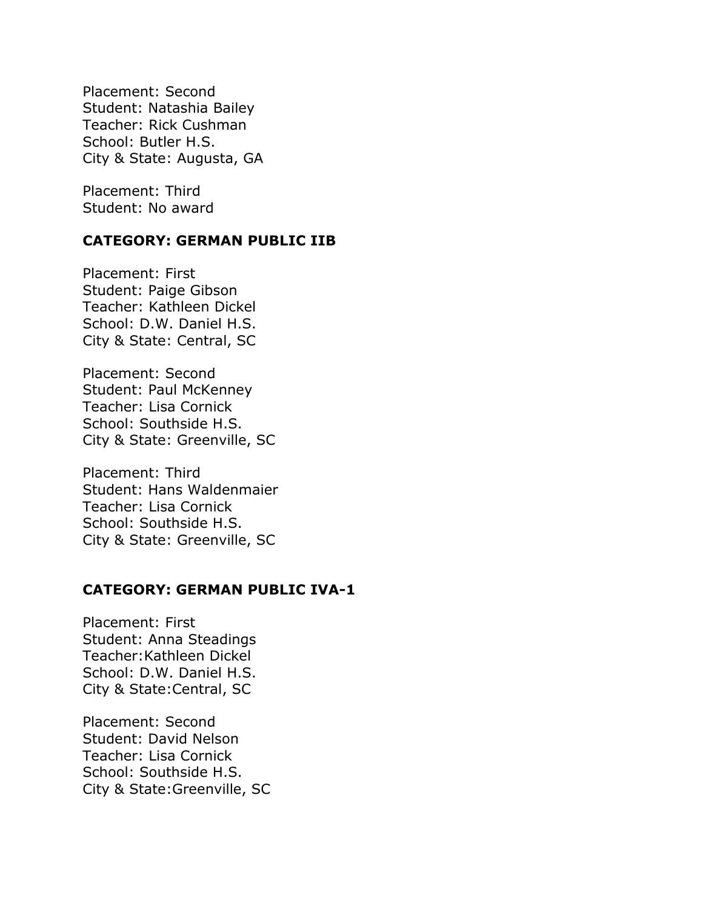Placement: Second Student: Natashia Bailey Teacher: Rick Cushman School: Butler H.S. City & State: Augusta, GA

Placement: Third Student: No award

# **CATEGORY: GERMAN PUBLIC IIB**

Placement: First Student: Paige Gibson Teacher: Kathleen Dickel School: D.W. Daniel H.S. City & State: Central, SC

Placement: Second Student: Paul McKenney Teacher: Lisa Cornick School: Southside H.S. City & State: Greenville, SC

Placement: Third Student: Hans Waldenmaier Teacher: Lisa Cornick School: Southside H.S. City & State: Greenville, SC

## **CATEGORY: GERMAN PUBLIC IVA-1**

Placement: First Student: Anna Steadings Teacher:Kathleen Dickel School: D.W. Daniel H.S. City & State:Central, SC

Placement: Second Student: David Nelson Teacher: Lisa Cornick School: Southside H.S. City & State:Greenville, SC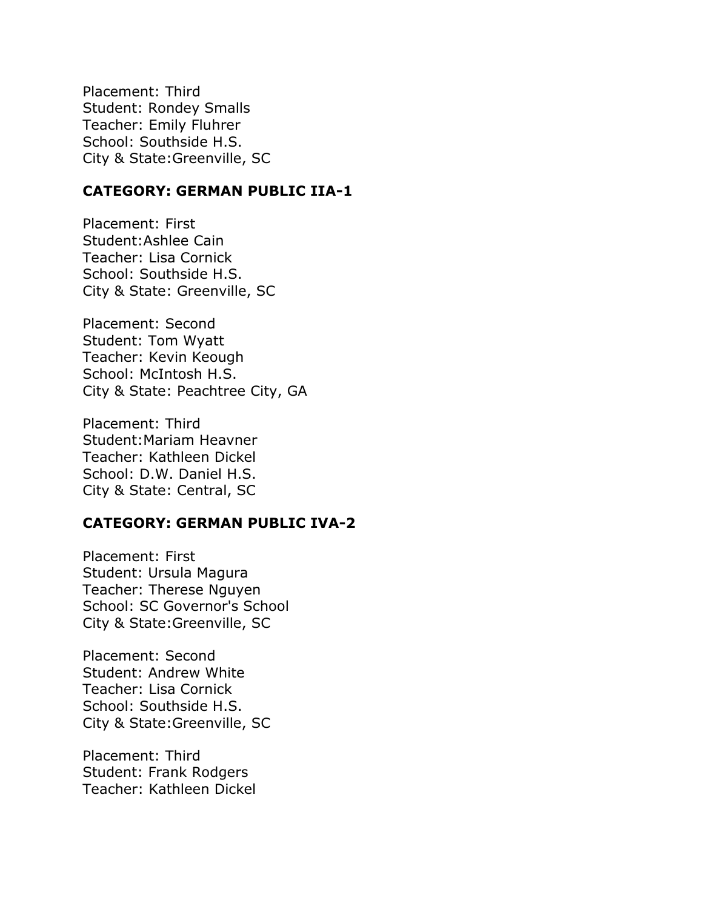Placement: Third Student: Rondey Smalls Teacher: Emily Fluhrer School: Southside H.S. City & State:Greenville, SC

## **CATEGORY: GERMAN PUBLIC IIA-1**

Placement: First Student:Ashlee Cain Teacher: Lisa Cornick School: Southside H.S. City & State: Greenville, SC

Placement: Second Student: Tom Wyatt Teacher: Kevin Keough School: McIntosh H.S. City & State: Peachtree City, GA

Placement: Third Student:Mariam Heavner Teacher: Kathleen Dickel School: D.W. Daniel H.S. City & State: Central, SC

## **CATEGORY: GERMAN PUBLIC IVA-2**

Placement: First Student: Ursula Magura Teacher: Therese Nguyen School: SC Governor's School City & State:Greenville, SC

Placement: Second Student: Andrew White Teacher: Lisa Cornick School: Southside H.S. City & State:Greenville, SC

Placement: Third Student: Frank Rodgers Teacher: Kathleen Dickel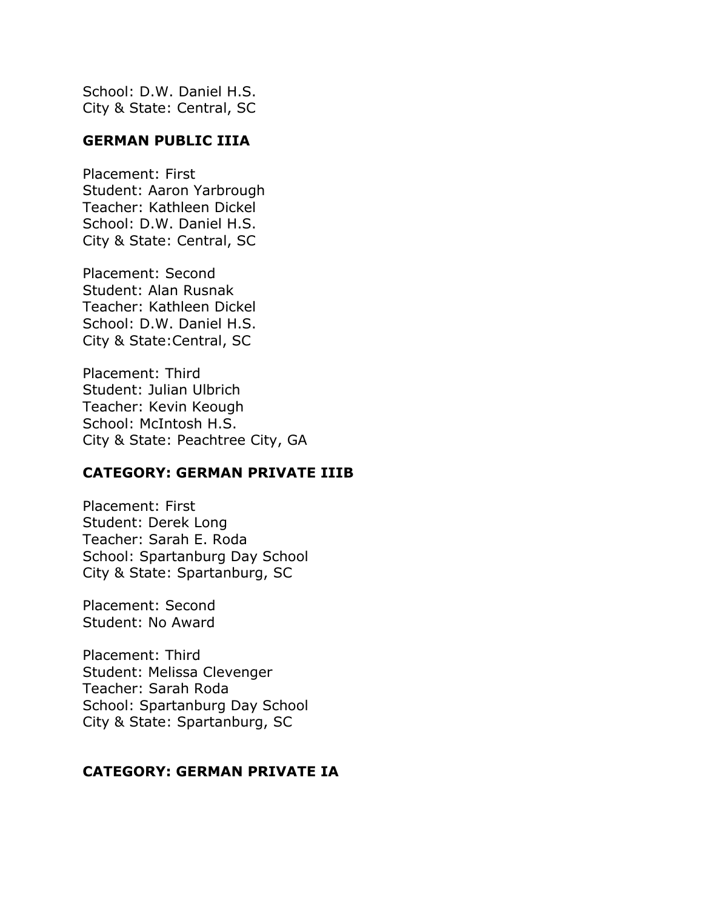School: D.W. Daniel H.S. City & State: Central, SC

## **GERMAN PUBLIC IIIA**

Placement: First Student: Aaron Yarbrough Teacher: Kathleen Dickel School: D.W. Daniel H.S. City & State: Central, SC

Placement: Second Student: Alan Rusnak Teacher: Kathleen Dickel School: D.W. Daniel H.S. City & State:Central, SC

Placement: Third Student: Julian Ulbrich Teacher: Kevin Keough School: McIntosh H.S. City & State: Peachtree City, GA

# **CATEGORY: GERMAN PRIVATE IIIB**

Placement: First Student: Derek Long Teacher: Sarah E. Roda School: Spartanburg Day School City & State: Spartanburg, SC

Placement: Second Student: No Award

Placement: Third Student: Melissa Clevenger Teacher: Sarah Roda School: Spartanburg Day School City & State: Spartanburg, SC

## **CATEGORY: GERMAN PRIVATE IA**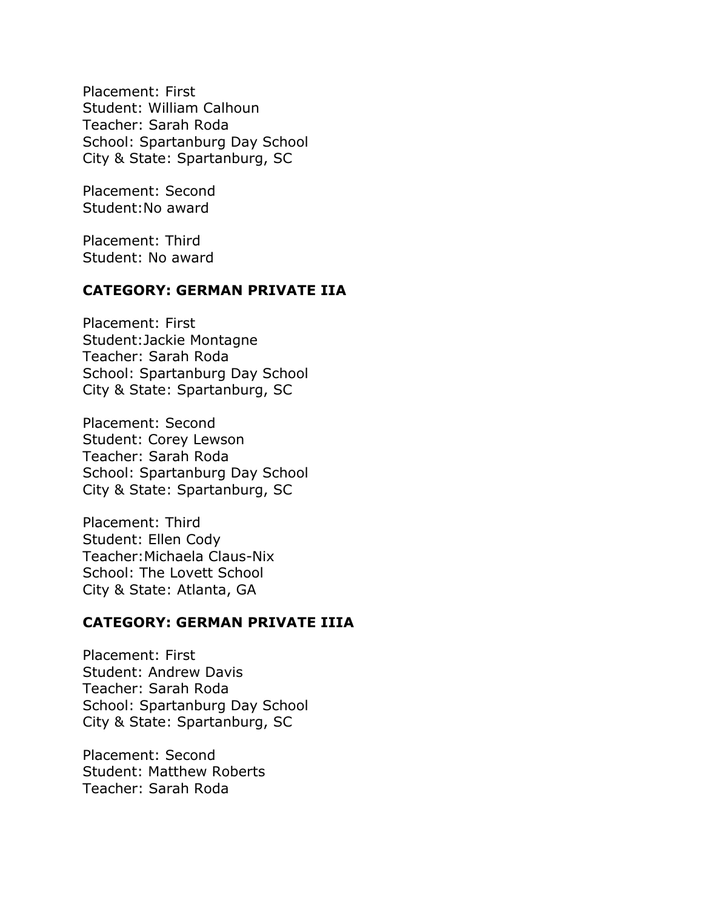Placement: First Student: William Calhoun Teacher: Sarah Roda School: Spartanburg Day School City & State: Spartanburg, SC

Placement: Second Student:No award

Placement: Third Student: No award

# **CATEGORY: GERMAN PRIVATE IIA**

Placement: First Student:Jackie Montagne Teacher: Sarah Roda School: Spartanburg Day School City & State: Spartanburg, SC

Placement: Second Student: Corey Lewson Teacher: Sarah Roda School: Spartanburg Day School City & State: Spartanburg, SC

Placement: Third Student: Ellen Cody Teacher:Michaela Claus-Nix School: The Lovett School City & State: Atlanta, GA

## **CATEGORY: GERMAN PRIVATE IIIA**

Placement: First Student: Andrew Davis Teacher: Sarah Roda School: Spartanburg Day School City & State: Spartanburg, SC

Placement: Second Student: Matthew Roberts Teacher: Sarah Roda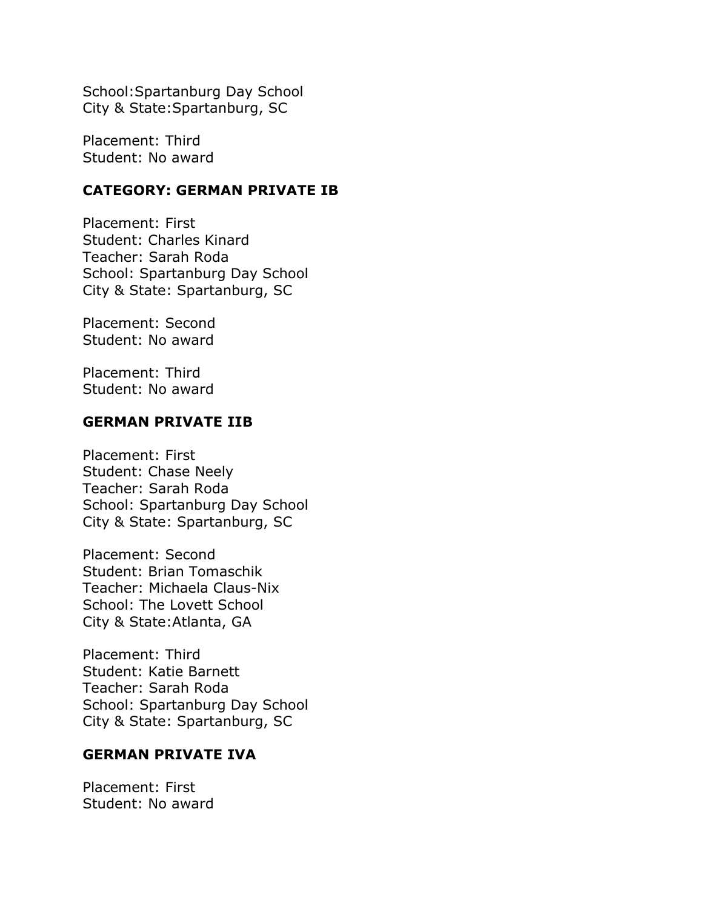School:Spartanburg Day School City & State:Spartanburg, SC

Placement: Third Student: No award

## **CATEGORY: GERMAN PRIVATE IB**

Placement: First Student: Charles Kinard Teacher: Sarah Roda School: Spartanburg Day School City & State: Spartanburg, SC

Placement: Second Student: No award

Placement: Third Student: No award

## **GERMAN PRIVATE IIB**

Placement: First Student: Chase Neely Teacher: Sarah Roda School: Spartanburg Day School City & State: Spartanburg, SC

Placement: Second Student: Brian Tomaschik Teacher: Michaela Claus-Nix School: The Lovett School City & State:Atlanta, GA

Placement: Third Student: Katie Barnett Teacher: Sarah Roda School: Spartanburg Day School City & State: Spartanburg, SC

# **GERMAN PRIVATE IVA**

Placement: First Student: No award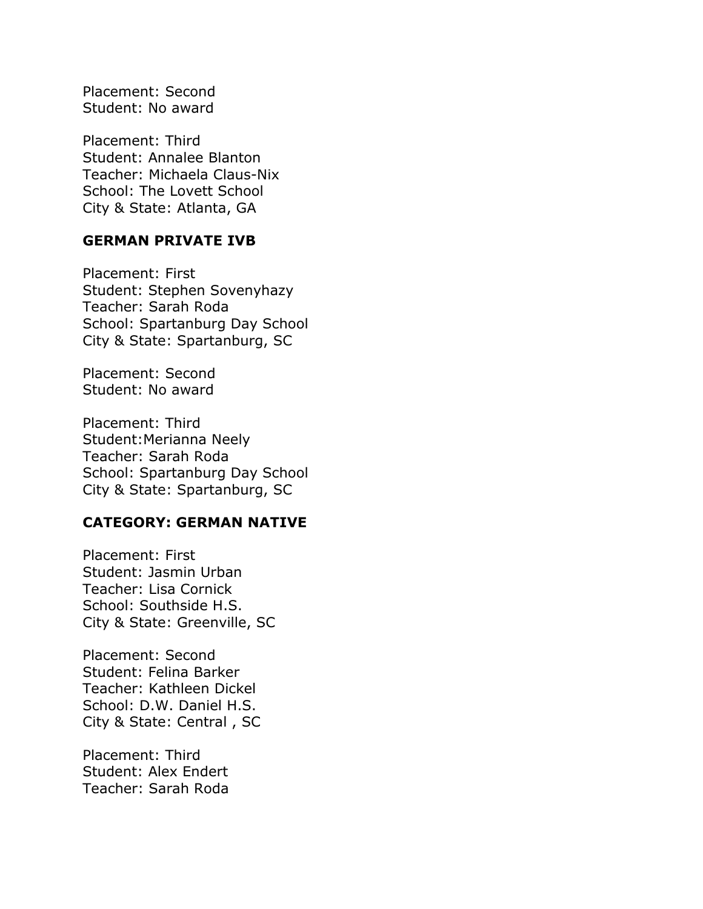Placement: Second Student: No award

Placement: Third Student: Annalee Blanton Teacher: Michaela Claus-Nix School: The Lovett School City & State: Atlanta, GA

## **GERMAN PRIVATE IVB**

Placement: First Student: Stephen Sovenyhazy Teacher: Sarah Roda School: Spartanburg Day School City & State: Spartanburg, SC

Placement: Second Student: No award

Placement: Third Student:Merianna Neely Teacher: Sarah Roda School: Spartanburg Day School City & State: Spartanburg, SC

## **CATEGORY: GERMAN NATIVE**

Placement: First Student: Jasmin Urban Teacher: Lisa Cornick School: Southside H.S. City & State: Greenville, SC

Placement: Second Student: Felina Barker Teacher: Kathleen Dickel School: D.W. Daniel H.S. City & State: Central , SC

Placement: Third Student: Alex Endert Teacher: Sarah Roda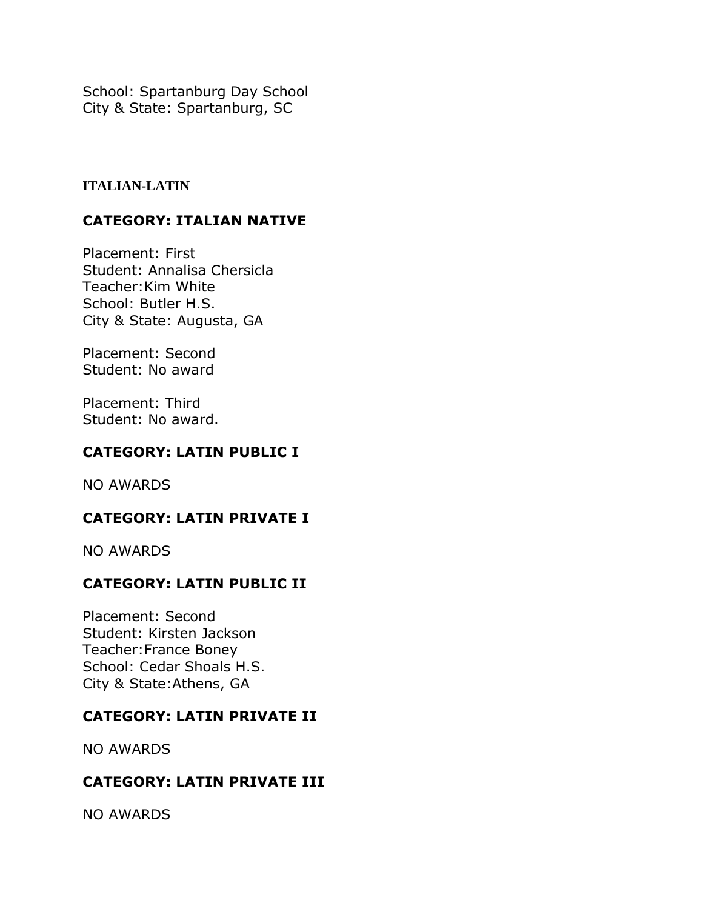School: Spartanburg Day School City & State: Spartanburg, SC

## **ITALIAN-LATIN**

# **CATEGORY: ITALIAN NATIVE**

Placement: First Student: Annalisa Chersicla Teacher:Kim White School: Butler H.S. City & State: Augusta, GA

Placement: Second Student: No award

Placement: Third Student: No award.

# **CATEGORY: LATIN PUBLIC I**

NO AWARDS

# **CATEGORY: LATIN PRIVATE I**

NO AWARDS

# **CATEGORY: LATIN PUBLIC II**

Placement: Second Student: Kirsten Jackson Teacher:France Boney School: Cedar Shoals H.S. City & State:Athens, GA

# **CATEGORY: LATIN PRIVATE II**

NO AWARDS

# **CATEGORY: LATIN PRIVATE III**

NO AWARDS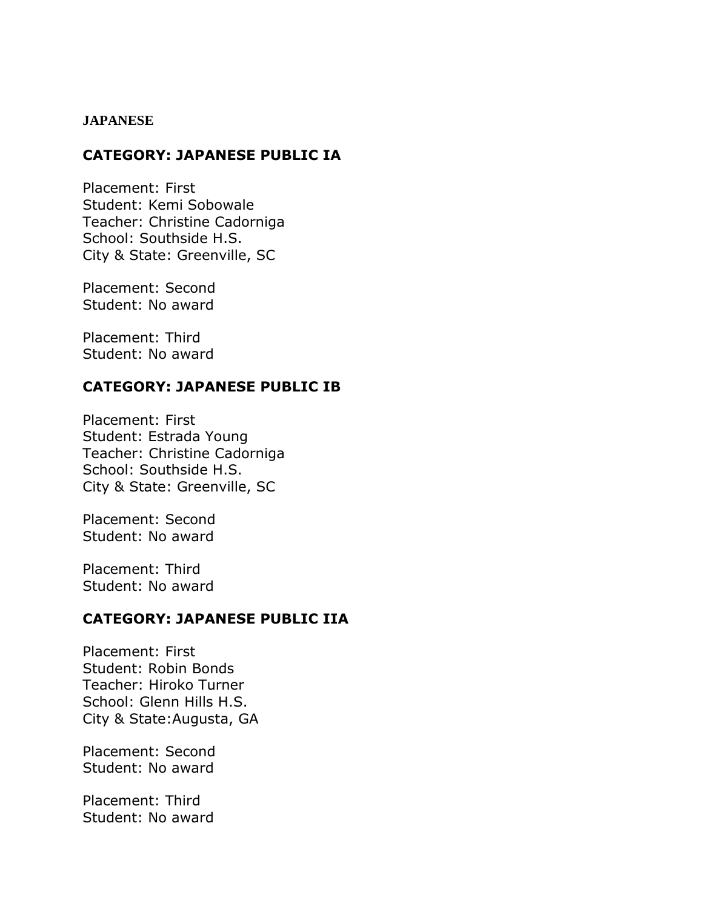#### **JAPANESE**

## **CATEGORY: JAPANESE PUBLIC IA**

Placement: First Student: Kemi Sobowale Teacher: Christine Cadorniga School: Southside H.S. City & State: Greenville, SC

Placement: Second Student: No award

Placement: Third Student: No award

# **CATEGORY: JAPANESE PUBLIC IB**

Placement: First Student: Estrada Young Teacher: Christine Cadorniga School: Southside H.S. City & State: Greenville, SC

Placement: Second Student: No award

Placement: Third Student: No award

## **CATEGORY: JAPANESE PUBLIC IIA**

Placement: First Student: Robin Bonds Teacher: Hiroko Turner School: Glenn Hills H.S. City & State:Augusta, GA

Placement: Second Student: No award

Placement: Third Student: No award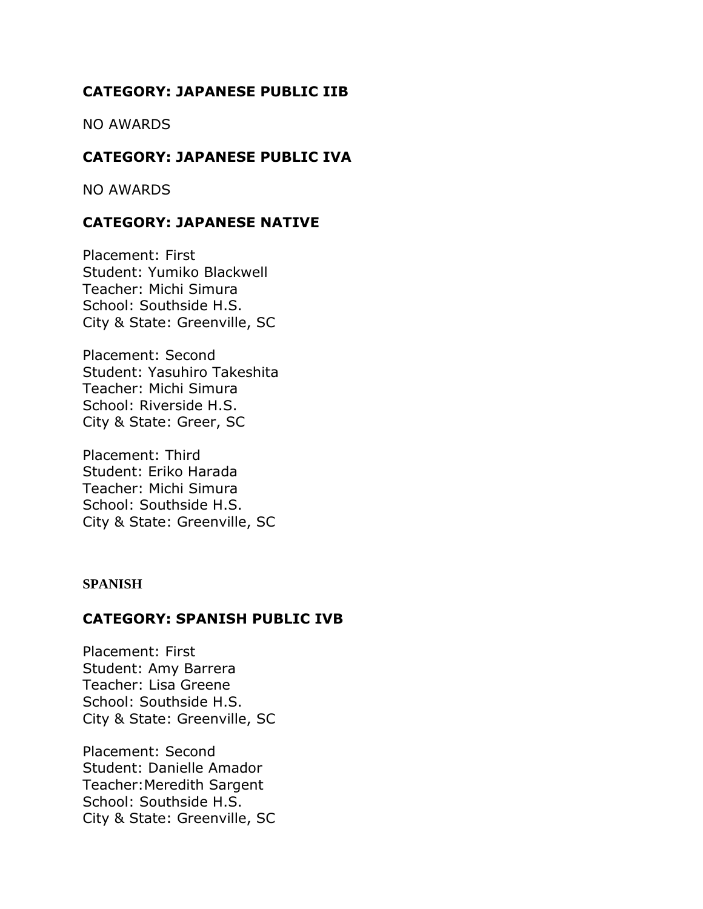# **CATEGORY: JAPANESE PUBLIC IIB**

NO AWARDS

# **CATEGORY: JAPANESE PUBLIC IVA**

NO AWARDS

# **CATEGORY: JAPANESE NATIVE**

Placement: First Student: Yumiko Blackwell Teacher: Michi Simura School: Southside H.S. City & State: Greenville, SC

Placement: Second Student: Yasuhiro Takeshita Teacher: Michi Simura School: Riverside H.S. City & State: Greer, SC

Placement: Third Student: Eriko Harada Teacher: Michi Simura School: Southside H.S. City & State: Greenville, SC

#### **SPANISH**

## **CATEGORY: SPANISH PUBLIC IVB**

Placement: First Student: Amy Barrera Teacher: Lisa Greene School: Southside H.S. City & State: Greenville, SC

Placement: Second Student: Danielle Amador Teacher:Meredith Sargent School: Southside H.S. City & State: Greenville, SC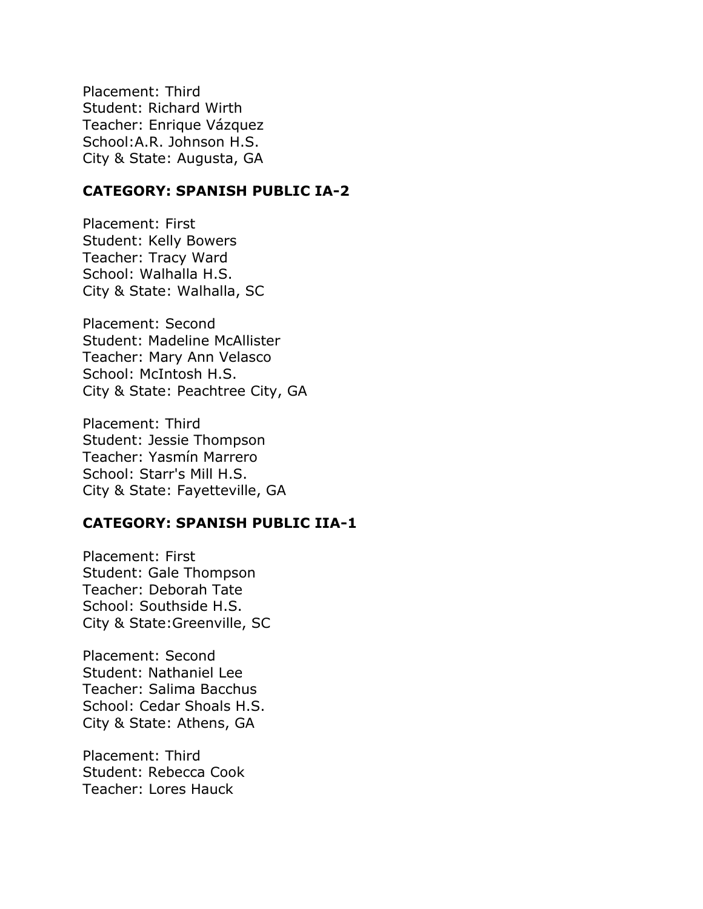Placement: Third Student: Richard Wirth Teacher: Enrique Vázquez School:A.R. Johnson H.S. City & State: Augusta, GA

## **CATEGORY: SPANISH PUBLIC IA-2**

Placement: First Student: Kelly Bowers Teacher: Tracy Ward School: Walhalla H.S. City & State: Walhalla, SC

Placement: Second Student: Madeline McAllister Teacher: Mary Ann Velasco School: McIntosh H.S. City & State: Peachtree City, GA

Placement: Third Student: Jessie Thompson Teacher: Yasmín Marrero School: Starr's Mill H.S. City & State: Fayetteville, GA

#### **CATEGORY: SPANISH PUBLIC IIA-1**

Placement: First Student: Gale Thompson Teacher: Deborah Tate School: Southside H.S. City & State:Greenville, SC

Placement: Second Student: Nathaniel Lee Teacher: Salima Bacchus School: Cedar Shoals H.S. City & State: Athens, GA

Placement: Third Student: Rebecca Cook Teacher: Lores Hauck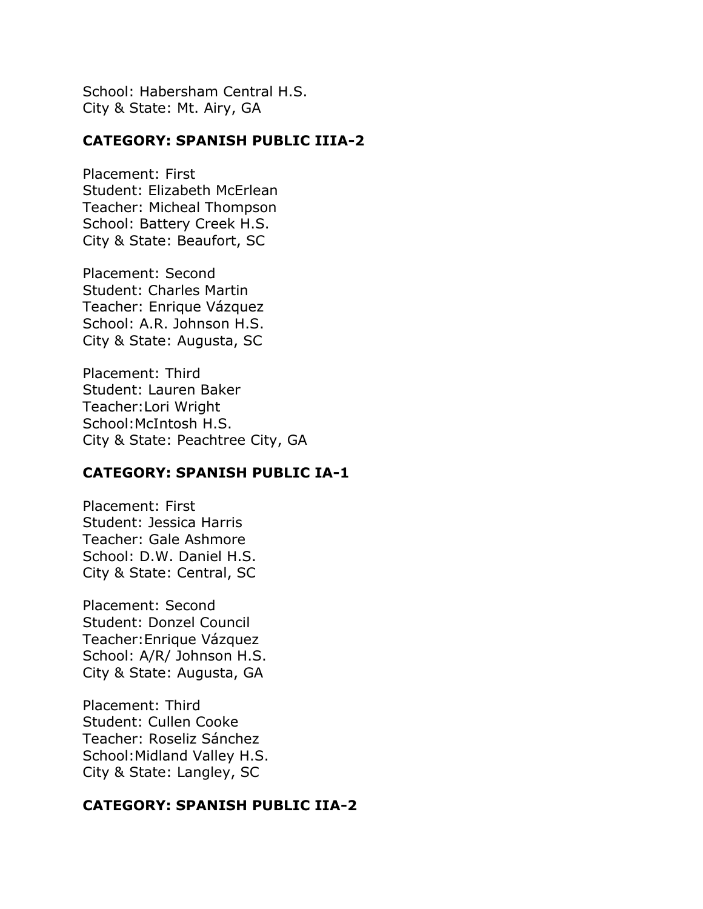School: Habersham Central H.S. City & State: Mt. Airy, GA

## **CATEGORY: SPANISH PUBLIC IIIA-2**

Placement: First Student: Elizabeth McErlean Teacher: Micheal Thompson School: Battery Creek H.S. City & State: Beaufort, SC

Placement: Second Student: Charles Martin Teacher: Enrique Vázquez School: A.R. Johnson H.S. City & State: Augusta, SC

Placement: Third Student: Lauren Baker Teacher:Lori Wright School:McIntosh H.S. City & State: Peachtree City, GA

#### **CATEGORY: SPANISH PUBLIC IA-1**

Placement: First Student: Jessica Harris Teacher: Gale Ashmore School: D.W. Daniel H.S. City & State: Central, SC

Placement: Second Student: Donzel Council Teacher:Enrique Vázquez School: A/R/ Johnson H.S. City & State: Augusta, GA

Placement: Third Student: Cullen Cooke Teacher: Roseliz Sánchez School:Midland Valley H.S. City & State: Langley, SC

## **CATEGORY: SPANISH PUBLIC IIA-2**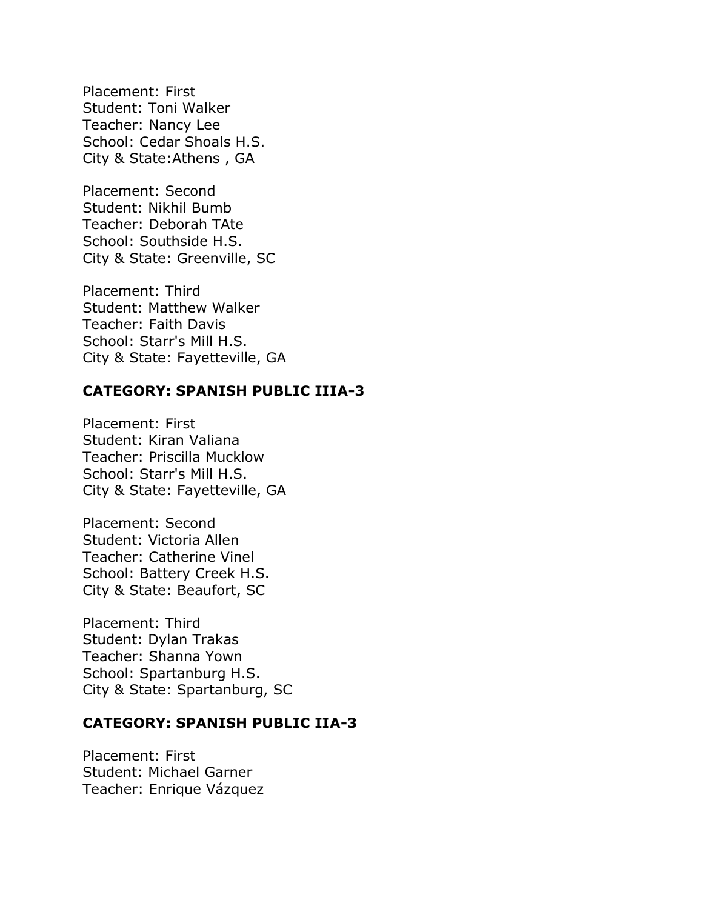Placement: First Student: Toni Walker Teacher: Nancy Lee School: Cedar Shoals H.S. City & State:Athens , GA

Placement: Second Student: Nikhil Bumb Teacher: Deborah TAte School: Southside H.S. City & State: Greenville, SC

Placement: Third Student: Matthew Walker Teacher: Faith Davis School: Starr's Mill H.S. City & State: Fayetteville, GA

#### **CATEGORY: SPANISH PUBLIC IIIA-3**

Placement: First Student: Kiran Valiana Teacher: Priscilla Mucklow School: Starr's Mill H.S. City & State: Fayetteville, GA

Placement: Second Student: Victoria Allen Teacher: Catherine Vinel School: Battery Creek H.S. City & State: Beaufort, SC

Placement: Third Student: Dylan Trakas Teacher: Shanna Yown School: Spartanburg H.S. City & State: Spartanburg, SC

## **CATEGORY: SPANISH PUBLIC IIA-3**

Placement: First Student: Michael Garner Teacher: Enrique Vázquez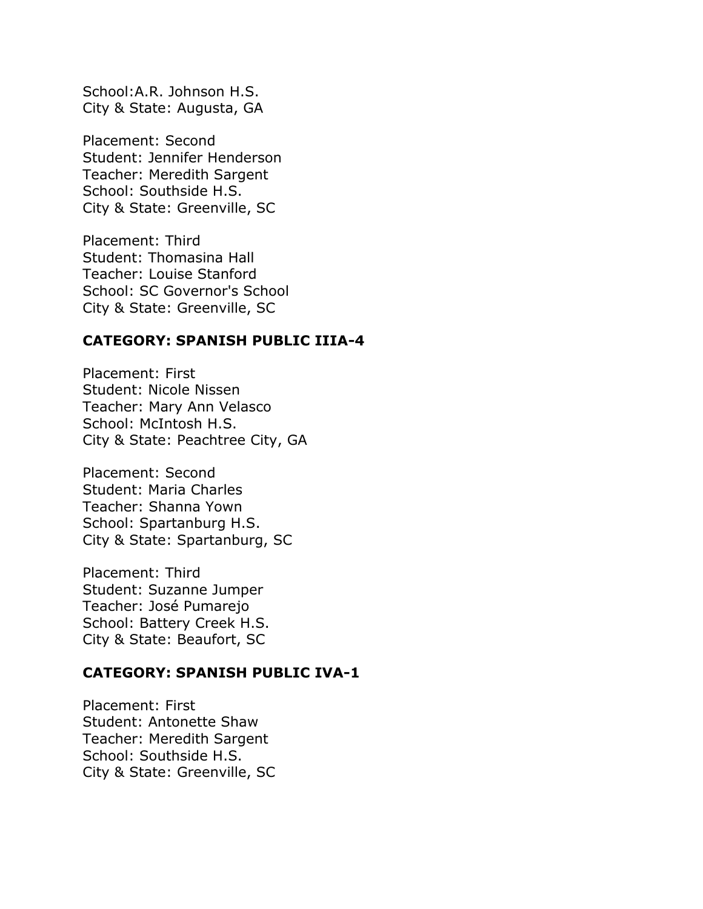School:A.R. Johnson H.S. City & State: Augusta, GA

Placement: Second Student: Jennifer Henderson Teacher: Meredith Sargent School: Southside H.S. City & State: Greenville, SC

Placement: Third Student: Thomasina Hall Teacher: Louise Stanford School: SC Governor's School City & State: Greenville, SC

## **CATEGORY: SPANISH PUBLIC IIIA-4**

Placement: First Student: Nicole Nissen Teacher: Mary Ann Velasco School: McIntosh H.S. City & State: Peachtree City, GA

Placement: Second Student: Maria Charles Teacher: Shanna Yown School: Spartanburg H.S. City & State: Spartanburg, SC

Placement: Third Student: Suzanne Jumper Teacher: José Pumarejo School: Battery Creek H.S. City & State: Beaufort, SC

## **CATEGORY: SPANISH PUBLIC IVA-1**

Placement: First Student: Antonette Shaw Teacher: Meredith Sargent School: Southside H.S. City & State: Greenville, SC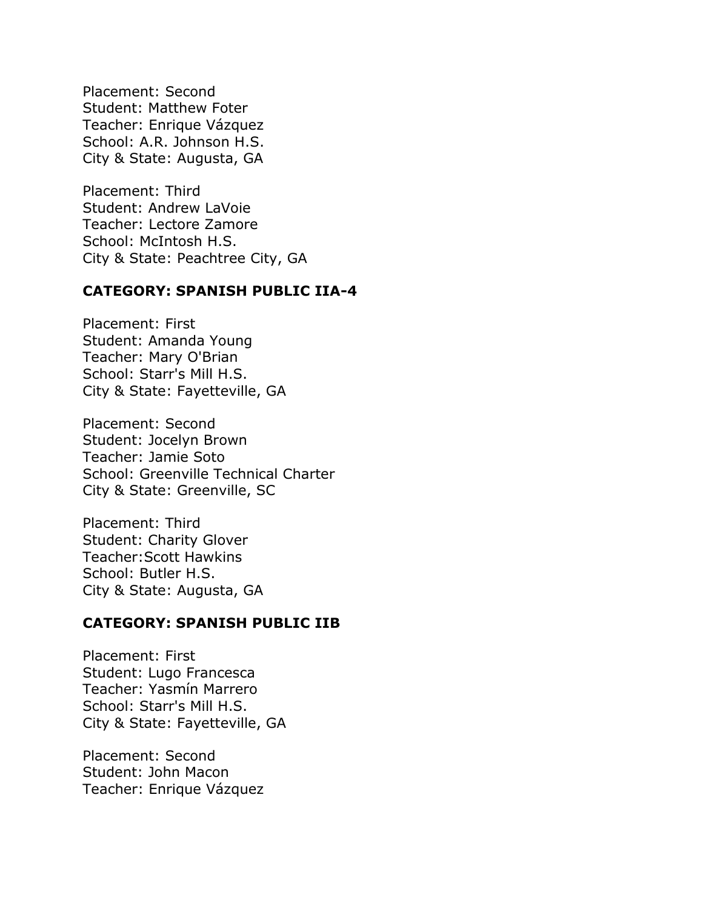Placement: Second Student: Matthew Foter Teacher: Enrique Vázquez School: A.R. Johnson H.S. City & State: Augusta, GA

Placement: Third Student: Andrew LaVoie Teacher: Lectore Zamore School: McIntosh H.S. City & State: Peachtree City, GA

## **CATEGORY: SPANISH PUBLIC IIA-4**

Placement: First Student: Amanda Young Teacher: Mary O'Brian School: Starr's Mill H.S. City & State: Fayetteville, GA

Placement: Second Student: Jocelyn Brown Teacher: Jamie Soto School: Greenville Technical Charter City & State: Greenville, SC

Placement: Third Student: Charity Glover Teacher:Scott Hawkins School: Butler H.S. City & State: Augusta, GA

## **CATEGORY: SPANISH PUBLIC IIB**

Placement: First Student: Lugo Francesca Teacher: Yasmín Marrero School: Starr's Mill H.S. City & State: Fayetteville, GA

Placement: Second Student: John Macon Teacher: Enrique Vázquez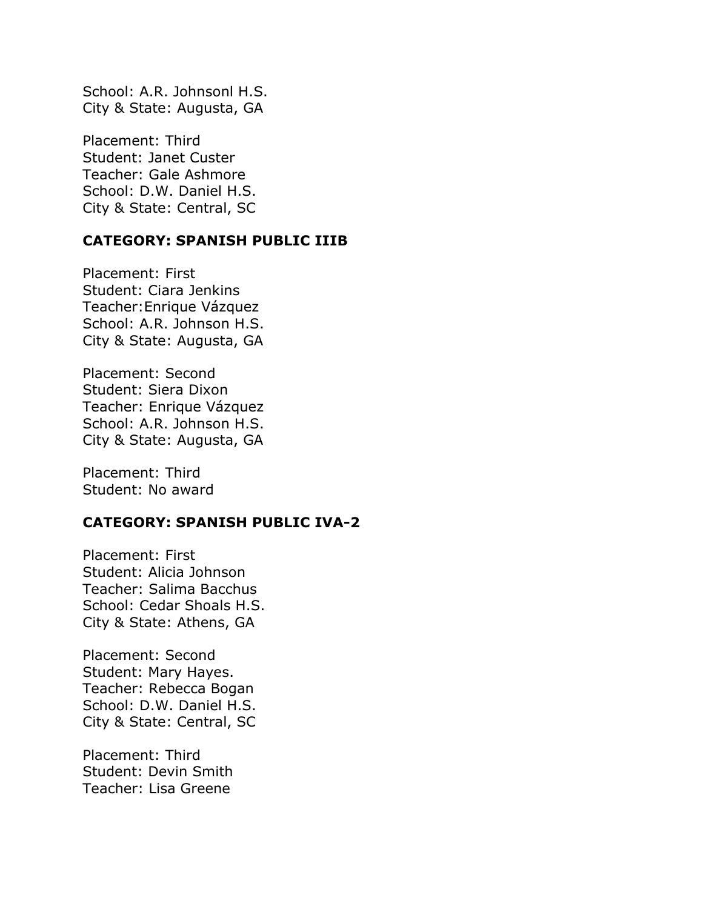School: A.R. Johnsonl H.S. City & State: Augusta, GA

Placement: Third Student: Janet Custer Teacher: Gale Ashmore School: D.W. Daniel H.S. City & State: Central, SC

## **CATEGORY: SPANISH PUBLIC IIIB**

Placement: First Student: Ciara Jenkins Teacher:Enrique Vázquez School: A.R. Johnson H.S. City & State: Augusta, GA

Placement: Second Student: Siera Dixon Teacher: Enrique Vázquez School: A.R. Johnson H.S. City & State: Augusta, GA

Placement: Third Student: No award

# **CATEGORY: SPANISH PUBLIC IVA-2**

Placement: First Student: Alicia Johnson Teacher: Salima Bacchus School: Cedar Shoals H.S. City & State: Athens, GA

Placement: Second Student: Mary Hayes. Teacher: Rebecca Bogan School: D.W. Daniel H.S. City & State: Central, SC

Placement: Third Student: Devin Smith Teacher: Lisa Greene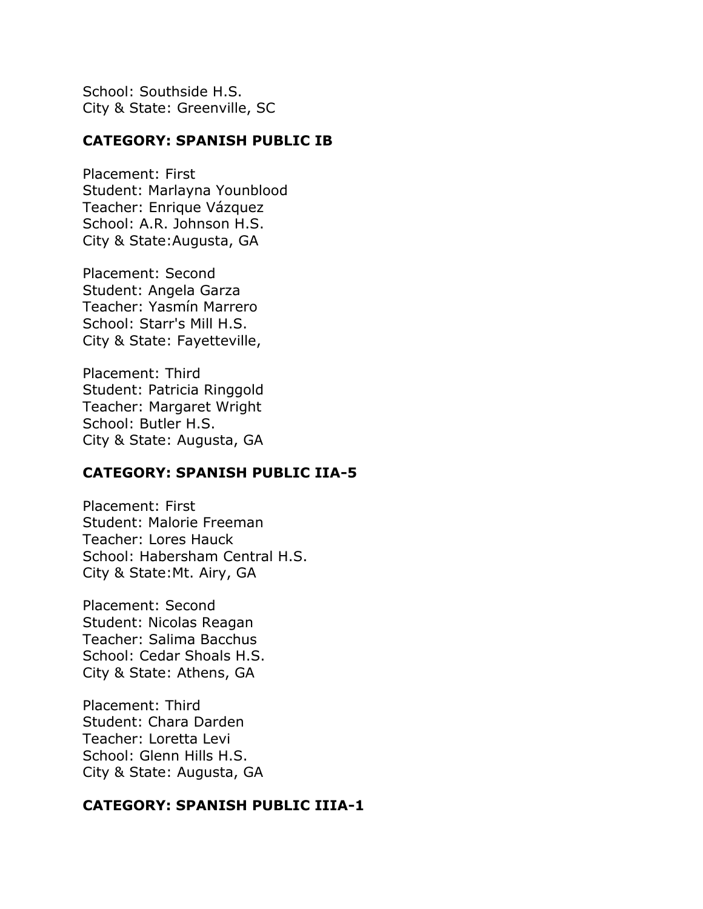School: Southside H.S. City & State: Greenville, SC

## **CATEGORY: SPANISH PUBLIC IB**

Placement: First Student: Marlayna Younblood Teacher: Enrique Vázquez School: A.R. Johnson H.S. City & State:Augusta, GA

Placement: Second Student: Angela Garza Teacher: Yasmín Marrero School: Starr's Mill H.S. City & State: Fayetteville,

Placement: Third Student: Patricia Ringgold Teacher: Margaret Wright School: Butler H.S. City & State: Augusta, GA

#### **CATEGORY: SPANISH PUBLIC IIA-5**

Placement: First Student: Malorie Freeman Teacher: Lores Hauck School: Habersham Central H.S. City & State:Mt. Airy, GA

Placement: Second Student: Nicolas Reagan Teacher: Salima Bacchus School: Cedar Shoals H.S. City & State: Athens, GA

Placement: Third Student: Chara Darden Teacher: Loretta Levi School: Glenn Hills H.S. City & State: Augusta, GA

## **CATEGORY: SPANISH PUBLIC IIIA-1**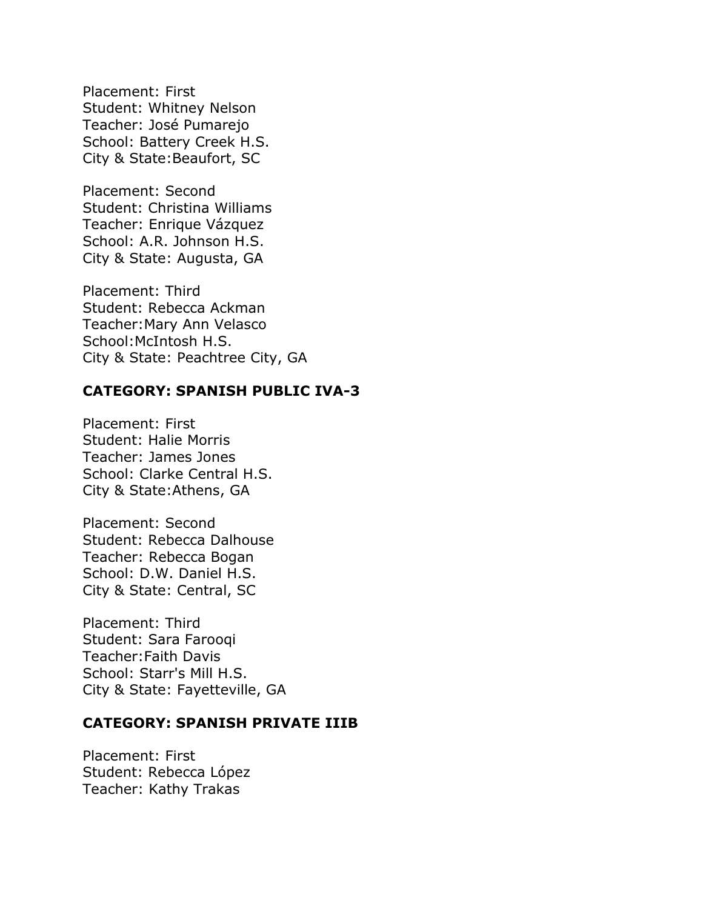Placement: First Student: Whitney Nelson Teacher: José Pumarejo School: Battery Creek H.S. City & State:Beaufort, SC

Placement: Second Student: Christina Williams Teacher: Enrique Vázquez School: A.R. Johnson H.S. City & State: Augusta, GA

Placement: Third Student: Rebecca Ackman Teacher:Mary Ann Velasco School:McIntosh H.S. City & State: Peachtree City, GA

## **CATEGORY: SPANISH PUBLIC IVA-3**

Placement: First Student: Halie Morris Teacher: James Jones School: Clarke Central H.S. City & State:Athens, GA

Placement: Second Student: Rebecca Dalhouse Teacher: Rebecca Bogan School: D.W. Daniel H.S. City & State: Central, SC

Placement: Third Student: Sara Farooqi Teacher:Faith Davis School: Starr's Mill H.S. City & State: Fayetteville, GA

#### **CATEGORY: SPANISH PRIVATE IIIB**

Placement: First Student: Rebecca López Teacher: Kathy Trakas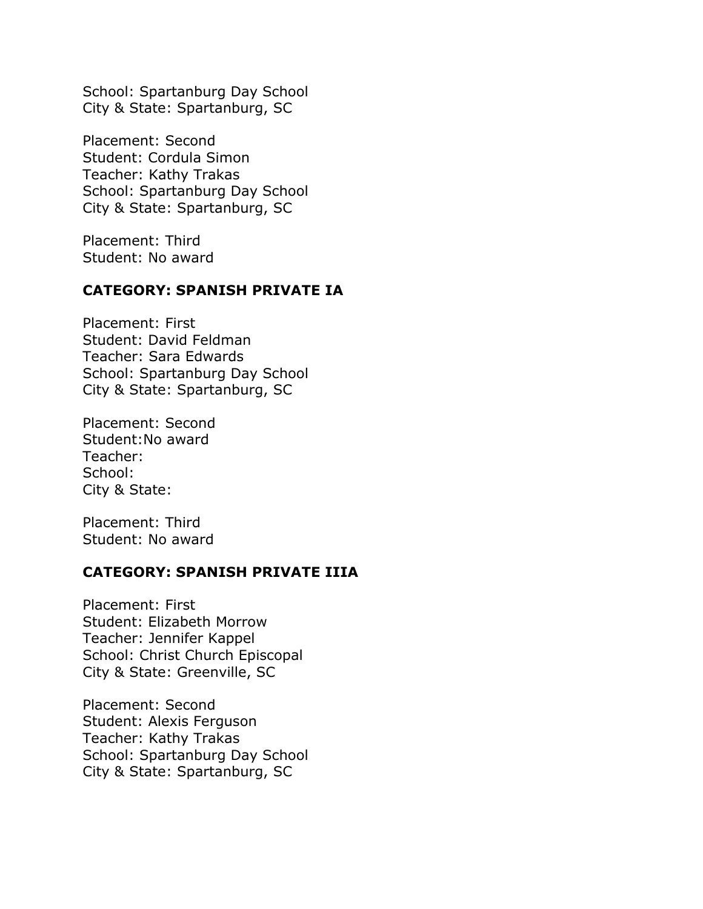School: Spartanburg Day School City & State: Spartanburg, SC

Placement: Second Student: Cordula Simon Teacher: Kathy Trakas School: Spartanburg Day School City & State: Spartanburg, SC

Placement: Third Student: No award

#### **CATEGORY: SPANISH PRIVATE IA**

Placement: First Student: David Feldman Teacher: Sara Edwards School: Spartanburg Day School City & State: Spartanburg, SC

Placement: Second Student:No award Teacher: School: City & State:

Placement: Third Student: No award

#### **CATEGORY: SPANISH PRIVATE IIIA**

Placement: First Student: Elizabeth Morrow Teacher: Jennifer Kappel School: Christ Church Episcopal City & State: Greenville, SC

Placement: Second Student: Alexis Ferguson Teacher: Kathy Trakas School: Spartanburg Day School City & State: Spartanburg, SC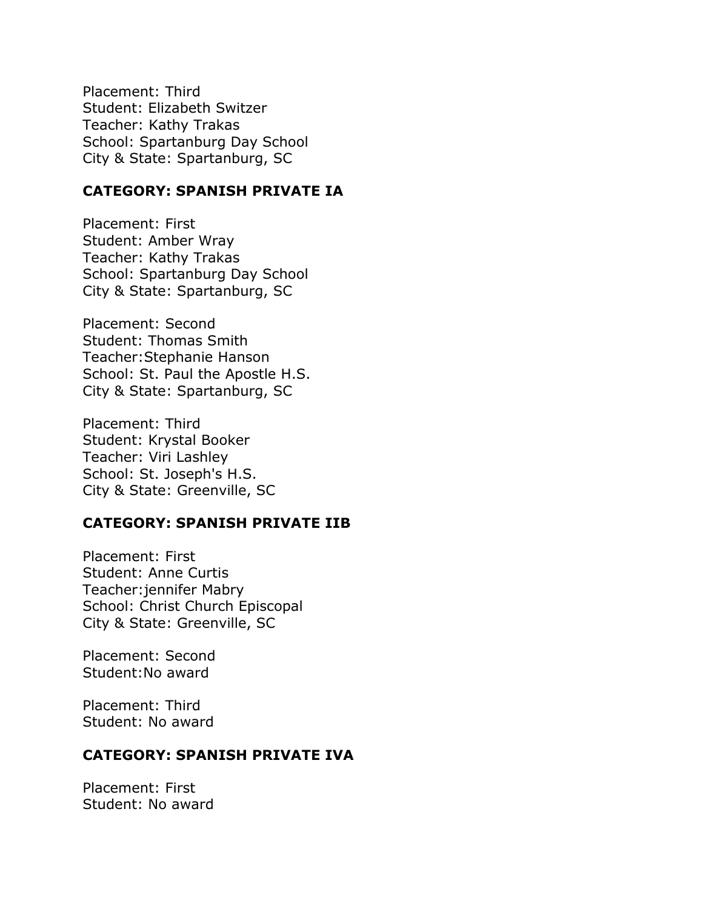Placement: Third Student: Elizabeth Switzer Teacher: Kathy Trakas School: Spartanburg Day School City & State: Spartanburg, SC

## **CATEGORY: SPANISH PRIVATE IA**

Placement: First Student: Amber Wray Teacher: Kathy Trakas School: Spartanburg Day School City & State: Spartanburg, SC

Placement: Second Student: Thomas Smith Teacher:Stephanie Hanson School: St. Paul the Apostle H.S. City & State: Spartanburg, SC

Placement: Third Student: Krystal Booker Teacher: Viri Lashley School: St. Joseph's H.S. City & State: Greenville, SC

# **CATEGORY: SPANISH PRIVATE IIB**

Placement: First Student: Anne Curtis Teacher:jennifer Mabry School: Christ Church Episcopal City & State: Greenville, SC

Placement: Second Student:No award

Placement: Third Student: No award

## **CATEGORY: SPANISH PRIVATE IVA**

Placement: First Student: No award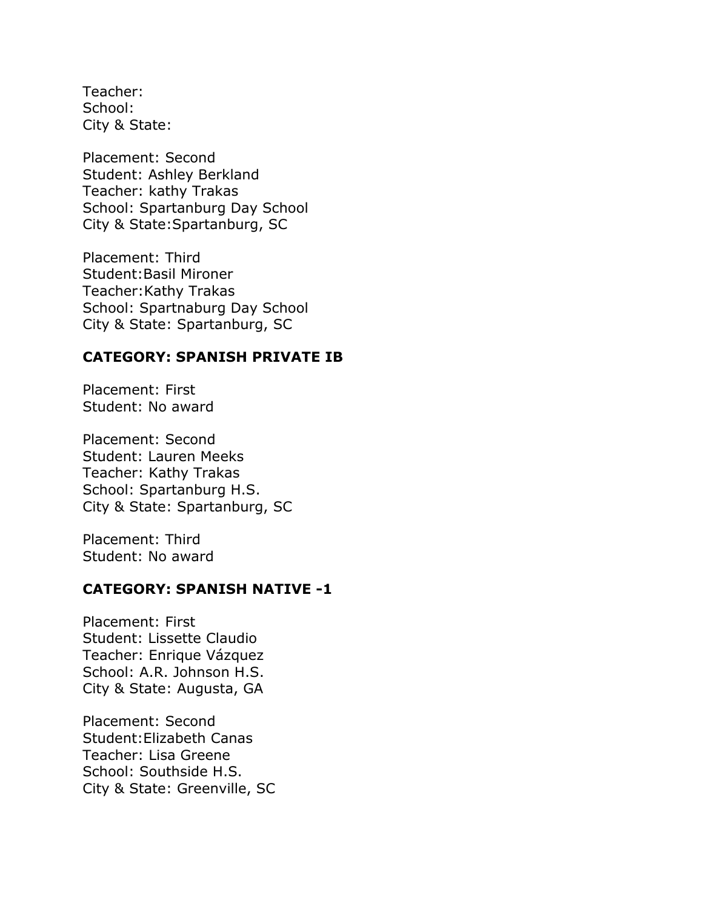Teacher: School: City & State:

Placement: Second Student: Ashley Berkland Teacher: kathy Trakas School: Spartanburg Day School City & State:Spartanburg, SC

Placement: Third Student:Basil Mironer Teacher:Kathy Trakas School: Spartnaburg Day School City & State: Spartanburg, SC

## **CATEGORY: SPANISH PRIVATE IB**

Placement: First Student: No award

Placement: Second Student: Lauren Meeks Teacher: Kathy Trakas School: Spartanburg H.S. City & State: Spartanburg, SC

Placement: Third Student: No award

## **CATEGORY: SPANISH NATIVE -1**

Placement: First Student: Lissette Claudio Teacher: Enrique Vázquez School: A.R. Johnson H.S. City & State: Augusta, GA

Placement: Second Student:Elizabeth Canas Teacher: Lisa Greene School: Southside H.S. City & State: Greenville, SC